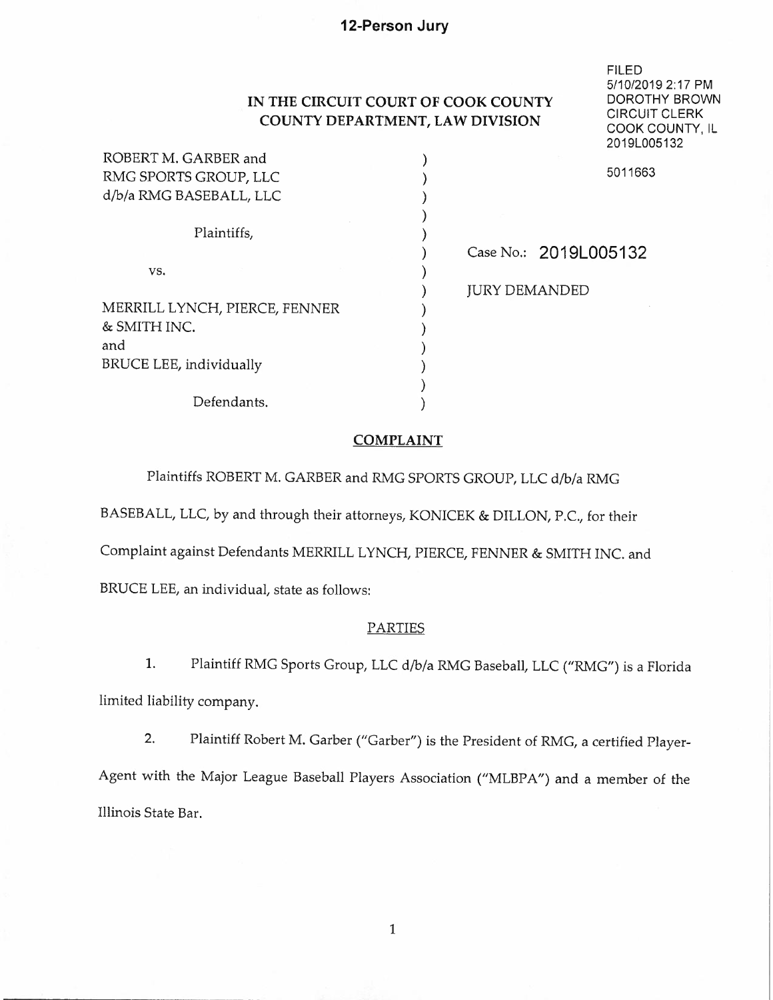# **IN THE CIRCUIT COURT OF COOK COUNTY COUNTY DEPARTMENT, LAW DIVISION**

FILED

5/10/2019 2: 17 PM DOROTHY BROWN CIRCUIT CLERK COOK COUNTY, IL 2019L005132

| ROBERT M. GARBER and           |                       |         |
|--------------------------------|-----------------------|---------|
| RMG SPORTS GROUP, LLC          |                       | 5011663 |
| d/b/a RMG BASEBALL, LLC        |                       |         |
|                                |                       |         |
| Plaintiffs,                    |                       |         |
|                                | Case No.: 2019L005132 |         |
| VS.                            |                       |         |
|                                | <b>JURY DEMANDED</b>  |         |
| MERRILL LYNCH, PIERCE, FENNER  |                       |         |
| & SMITH INC.                   |                       |         |
| and                            |                       |         |
| <b>BRUCE LEE, individually</b> |                       |         |
|                                |                       |         |
| Defendants.                    |                       |         |

## **COMPLAINT**

)

Plaintiffs ROBERT M. GARBER and RMG SPORTS GROUP, LLC d/b/a RMG

BASEBALL, LLC, by and through their attorneys, KONICEK & DILLON, P.C., for their

Complaint against Defendants MERRILL LYNCH, PIERCE, FENNER & SMITH INC. and

BRUCE LEE, an individual, state as follows:

#### PARTIES

1. Plaintiff RMG Sports Group, LLC d/b/a RMG Baseball, LLC ("RMG") is a Florida limited liability company.

2. Plaintiff Robert M. Garber ("Garber") is the President of RMG, a certified Player-Agent with the Major League Baseball Players Association ("MLBPA") and a member of the Illinois State Bar.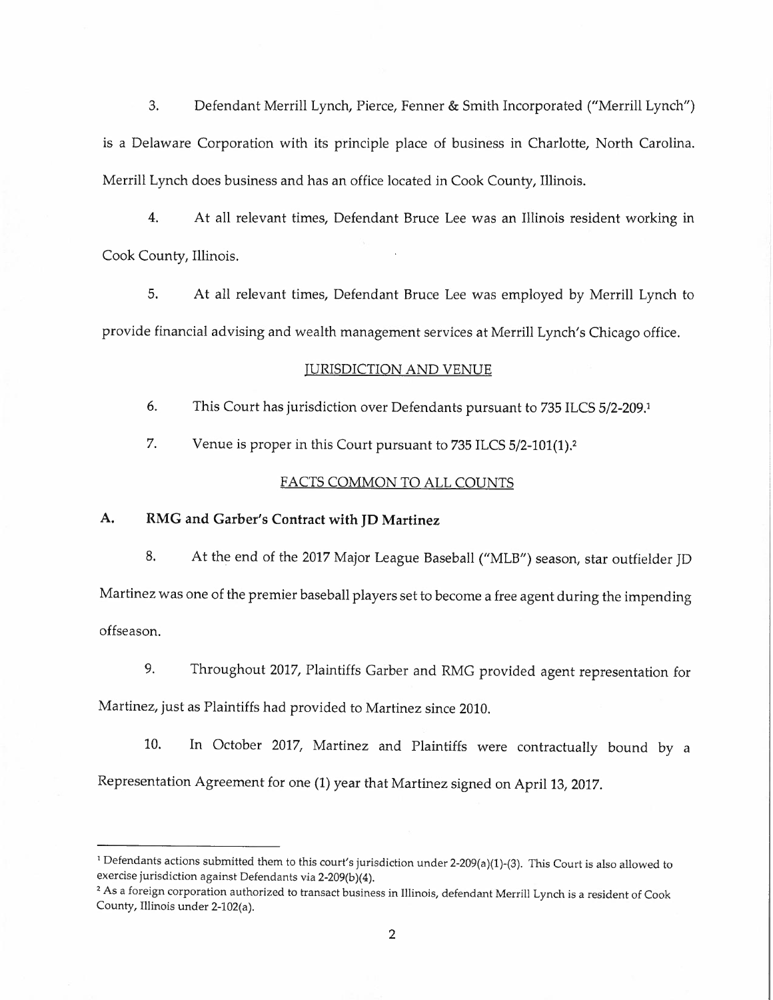3. Defendant Merrill Lynch, Pierce, Fenner & Smith Incorporated ("Merrill Lynch") is a Delaware Corporation with its principle place of business in Charlotte, North Carolina. Merrill Lynch does business and has an office located in Cook County, Illinois.

4. At all relevant times, Defendant Bruce Lee was an Illinois resident working in Cook County, Illinois.

5. At all relevant times, Defendant Bruce Lee was employed by Merrill Lynch to provide financial advising and wealth management services at Merrill Lynch's Chicago office.

#### TURISDICTION AND VENUE

6. This Court has jurisdiction over Defendants pursuant to 735 ILCS 5/2-209. 1

7. Venue is proper in this Court pursuant to 735 ILCS 5/2-101(1).<sup>2</sup>

## FACTS COMMON TO ALL COUNTS

## **A. RMG and Garber's Contract with JD Martinez**

8. At the end of the 2017 Major League Baseball ("MLB") season, star outfielder JD Martinez was one of the premier baseball players set to become a free agent during the impending offseason.

9. Throughout 2017, Plaintiffs Garber and RMG provided agent representation for Martinez, just as Plaintiffs had provided to Martinez since 2010.

10. In October 2017, Martinez and Plaintiffs were contractually bound by a Representation Agreement for one (1) year that Martinez signed on April 13, 2017.

<sup>&</sup>lt;sup>1</sup> Defendants actions submitted them to this court's jurisdiction under 2-209(a)(1)-(3). This Court is also allowed to exercise jurisdiction against Defendants via 2-209(b)(4).

<sup>&</sup>lt;sup>2</sup> As a foreign corporation authorized to transact business in Illinois, defendant Merrill Lynch is a resident of Cook County, Illinois under 2-102(a).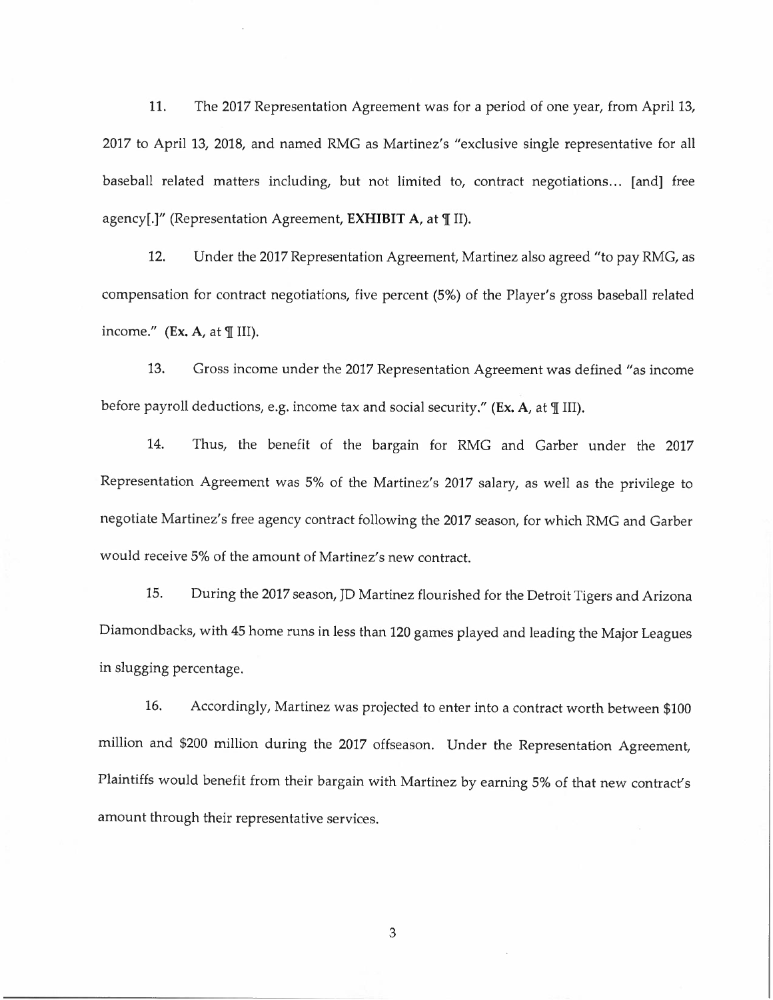11. The 2017 Representation Agreement was for a period of one year, from April 13, 2017 to April 13, 2018, and named RMG as Martinez's "exclusive single representative for all baseball related matters including, but not limited to, contract negotiations... [and] free agency[.]" (Representation Agreement, **EXHIBIT A**, at *III*).

12. Under the 2017 Representation Agreement, Martinez also agreed "to pay RMG, as compensation for contract negotiations, five percent (5%) of the Player's gross baseball related income."  $(Ex. A, at  $\mathbb{I}$  III).$ 

13. Gross income under the 2017 Representation Agreement was defined "as income before payroll deductions, e.g. income tax and social security." (Ex. A, at *IIII)*.

14. Thus, the benefit of the bargain for RMG and Garber under the 2017 Representation Agreement was 5% of the Martinez's 2017 salary, as well as the privilege *to*  negotiate Martinez's free agency contract following the 2017 season, for which RMG and Garber would receive 5% of the amount of Martinez's new contract.

15. During the 2017 season, JD Martinez flourished for the Detroit Tigers and Arizona Diamondbacks, with 45 home runs in less than 120 games played and leading the Major Leagues in slugging percentage.

16. Accordingly, Martinez was projected *to* enter into a contract worth between \$100 million and \$200 million during the 2017 offseason. Under the Representation Agreement, Plaintiffs would benefit from their bargain with Martinez by earning 5% of that new contract's amount through their representative services.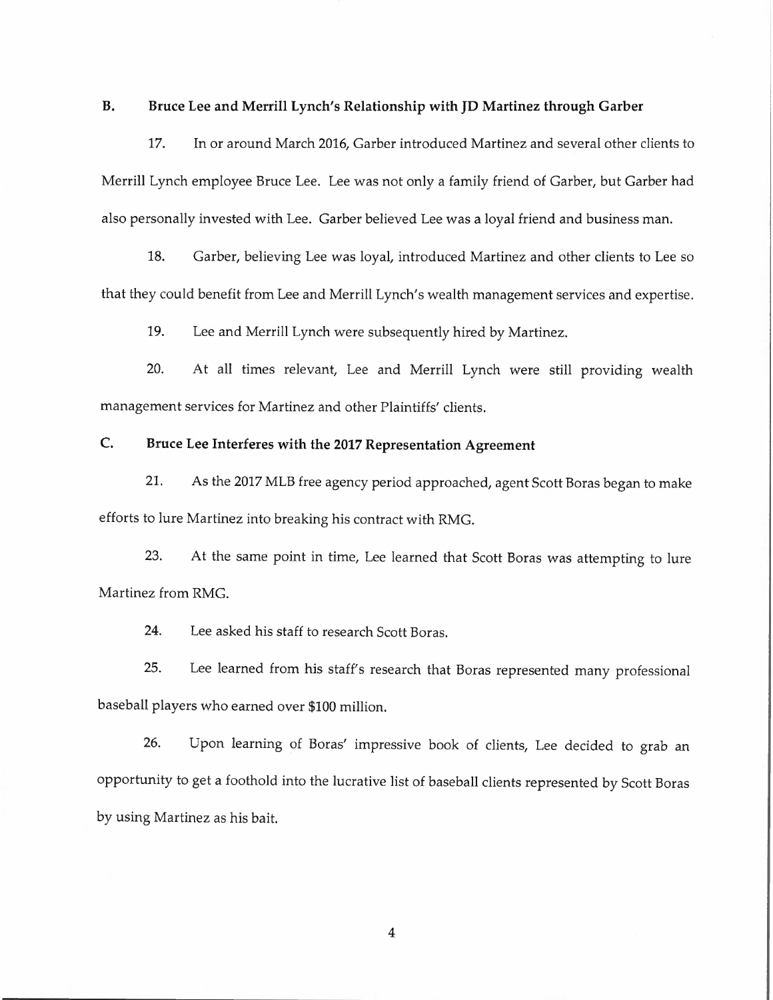## **B. Bruce Lee and Merrill Lynch's Relationship with JD Martinez through Garber**

17. In or around March 2016, Garber introduced Martinez and several other clients to Merrill Lynch employee Bruce Lee. Lee was not only a family friend of Garber, but Garber had also personally invested with Lee. Garber believed Lee was a loyal friend and business man.

18. Garber, believing Lee was loyal, introduced Martinez and other clients to Lee so that they could benefit from Lee and Merrill Lynch's wealth management services and expertise.

19. Lee and Merrill Lynch were subsequently hired by Martinez.

20. At all times relevant, Lee and Merrill Lynch were still providing wealth management services for Martinez and other Plaintiffs' clients.

## **C. Bruce Lee Interferes with the 2017 Representation Agreement**

21. As the 2017 MLB free agency period approached, agent Scott Boras began to make efforts to lure Martinez into breaking his contract with RMG.

23. At the same point in time, Lee learned that Scott Boras was attempting to lure Martinez from RMG.

24. Lee asked his staff to research Scott Boras.

25. Lee learned from his staff's research that Boras represented many professional baseball players who earned over \$100 million.

26. Upon learning of Boras' impressive book of clients, Lee decided to grab an opportunity to get a foothold into the lucrative list of baseball clients represented by Scott Baras by using Martinez as his bait.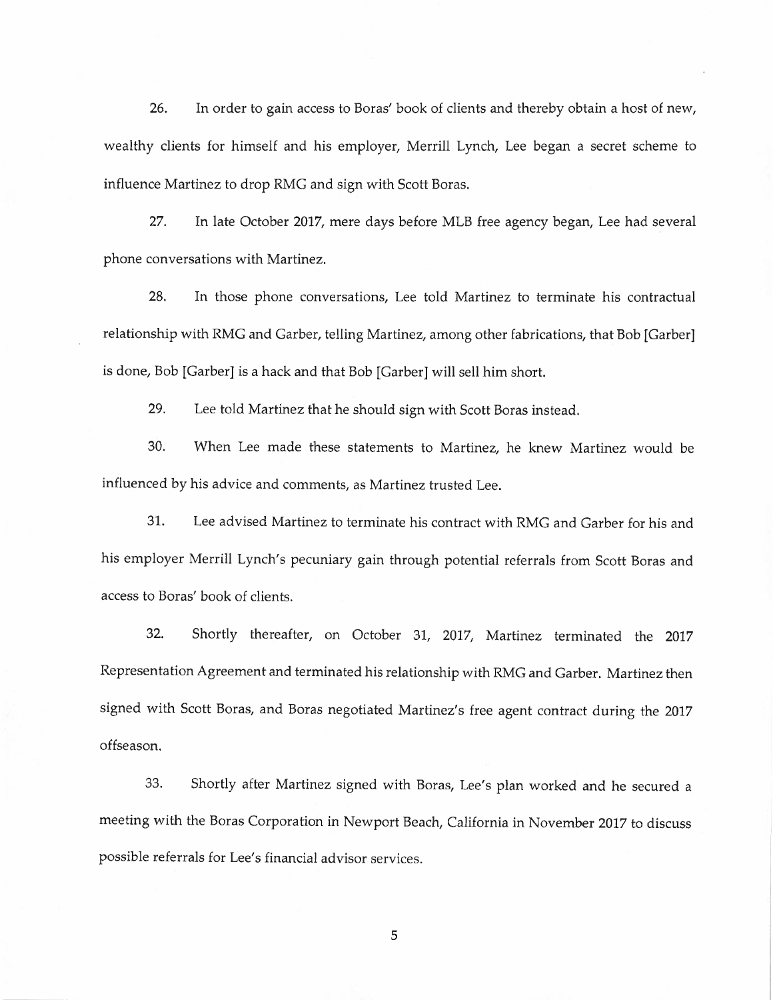26. In order to gain access to Boras' book of clients and thereby obtain a host of new, wealthy clients for himself and his employer, Merrill Lynch, Lee began a secret scheme to influence Martinez to drop RMG and sign with Scott Boras.

27. In late October 2017, mere days before MLB free agency began, Lee had several phone conversations with Martinez.

28. In those phone conversations, Lee told Martinez to terminate his contractual relationship with RMG and Garber, telling Martinez, among other fabrications, that Bob {Garber] is done, Bob {Garber] is a hack and that Bob {Garber] will sell him short.

29. Lee told Martinez that he should sign with Scott Boras instead.

30. When Lee made these statements to Martinez, he knew Martinez would be influenced by his advice and comments, as Martinez trusted Lee.

31. Lee advised Martinez to terminate his contract with RMG and Garber for his and his employer Merrill Lynch's pecuniary gain through potential referrals from Scott Boras and access to Baras' book of clients.

32. Shortly thereafter, on October 31, 2017, Martinez terminated the 2017 Representation Agreement and terminated his relationship with RMG and Garber. Martinez then signed with Scott Boras, and Boras negotiated Martinez's free agent contract during the 2017 offseason.

33. Shortly after Martinez signed with Baras, Lee's plan worked and he secured a meeting with the Boras Corporation in Newport Beach, California in November 2017 to discuss possible referrals for Lee's financial advisor services.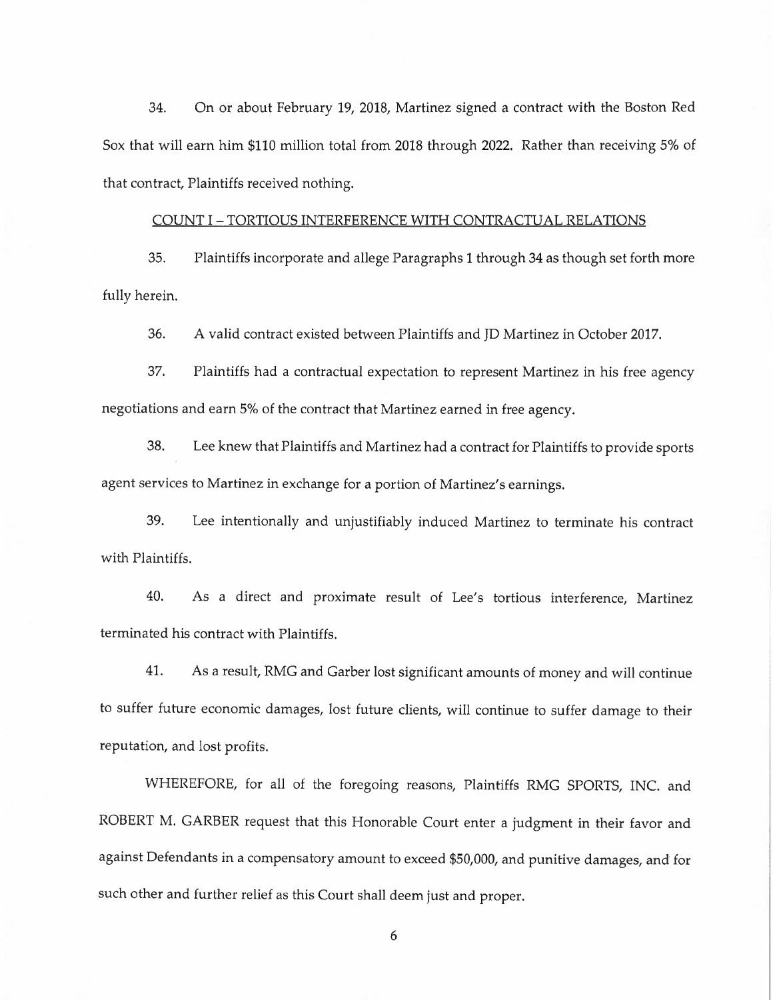34. On or about February 19, 2018, Martinez signed a contract with the Boston Red Sox that will earn him \$110 million total from 2018 through 2022. Rather than receiving 5% of that contract, Plaintiffs received nothing.

#### COUNT I-TORTIOUS INTERFERENCE WITH CONTRACTUAL RELATIONS

35. Plaintiffs incorporate and allege Paragraphs 1 through 34 as though set forth more fully herein.

36. A valid contract existed between Plaintiffs and JD Martinez in October 2017.

37. Plaintiffs had a contractual expectation to represent Martinez in his free agency negotiations and earn 5% of the contract that Martinez earned in free agency.

38. Lee knew that Plaintiffs and Martinez had a contract for Plaintiffs to provide sports agent services to Martinez in exchange for a portion of Martinez's earnings.

39. Lee intentionally and unjustifiably induced Martinez to terminate his contract with Plaintiffs.

40. As a direct and proximate result of Lee's tortious interference, Martinez terminated his contract with Plaintiffs.

41. As a result, RMG and Garber lost significant amounts of money and will continue to suffer future economic damages, lost future clients, will continue to suffer damage to their reputation, and lost profits.

WHEREFORE, for all of the foregoing reasons, Plaintiffs RMG SPORTS, INC. and ROBERT M. GARBER request that this Honorable Court enter a judgment in their favor and against Defendants in a compensatory amount to exceed \$50,000, and punitive damages, and for such other and further relief as this Court shall deem just and proper.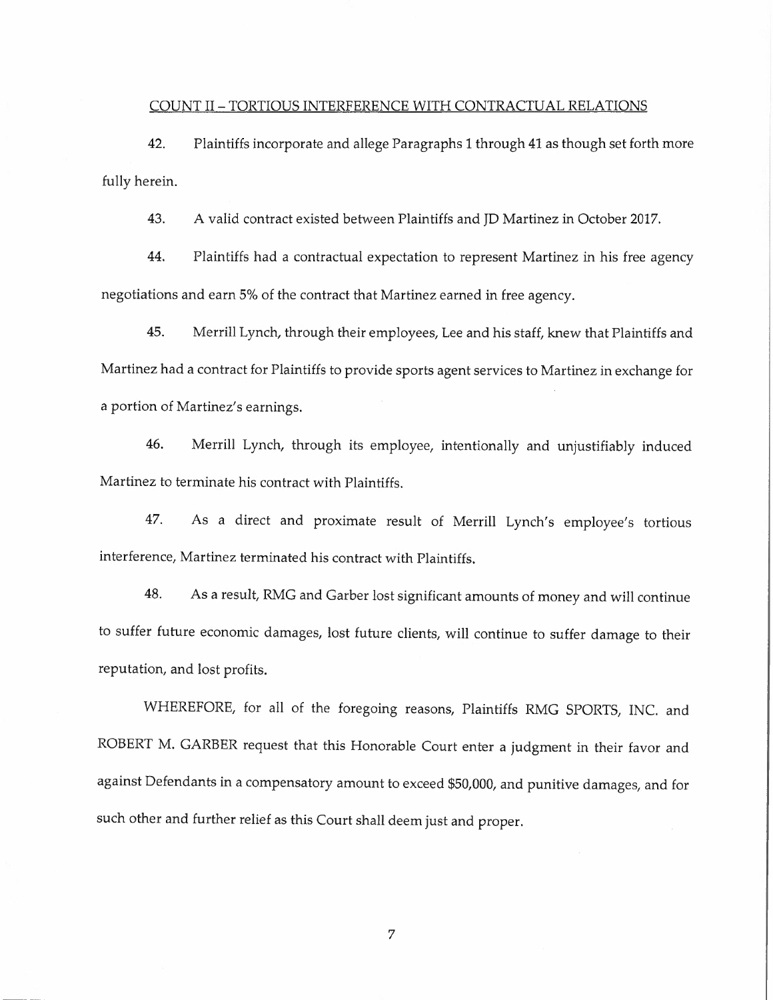## COUNT II-TORTIOUS INTERFERENCE WITH CONTRACTUAL RELATIONS

42. Plaintiffs incorporate and allege Paragraphs 1 through 41 as though set forth more fully herein.

43. A valid contract existed between Plaintiffs and JD Martinez in October 2017.

44. Plaintiffs had a contractual expectation to represent Martinez in his free agency negotiations and earn 5% of the contract that Martinez earned in free agency.

45. Merrill Lynch, through their employees, Lee and his staff, knew that Plaintiffs and Martinez had a contract for Plaintiffs to provide sports agent services to Martinez in exchange for a portion of Martinez's earnings.

46. Merrill Lynch, through its employee, intentionally and unjustifiably induced Martinez to terminate his contract with Plaintiffs.

47. As a direct and proximate result of Merrill Lynch's employee's tortious interference, Martinez terminated his contract with Plaintiffs.

48. As a result, RMG and Garber lost significant amounts of money and will continue to suffer future economic damages, lost future clients, will continue to suffer damage to their reputation, and lost profits.

WHEREFORE, for all of the foregoing reasons, Plaintiffs RMG SPORTS, INC. and ROBERT M. GARBER request that this Honorable Court enter a judgment in their favor and against Defendants in a compensatory amount to exceed \$50,000, and punitive damages, and for such other and further relief as this Court shall deem just and proper.